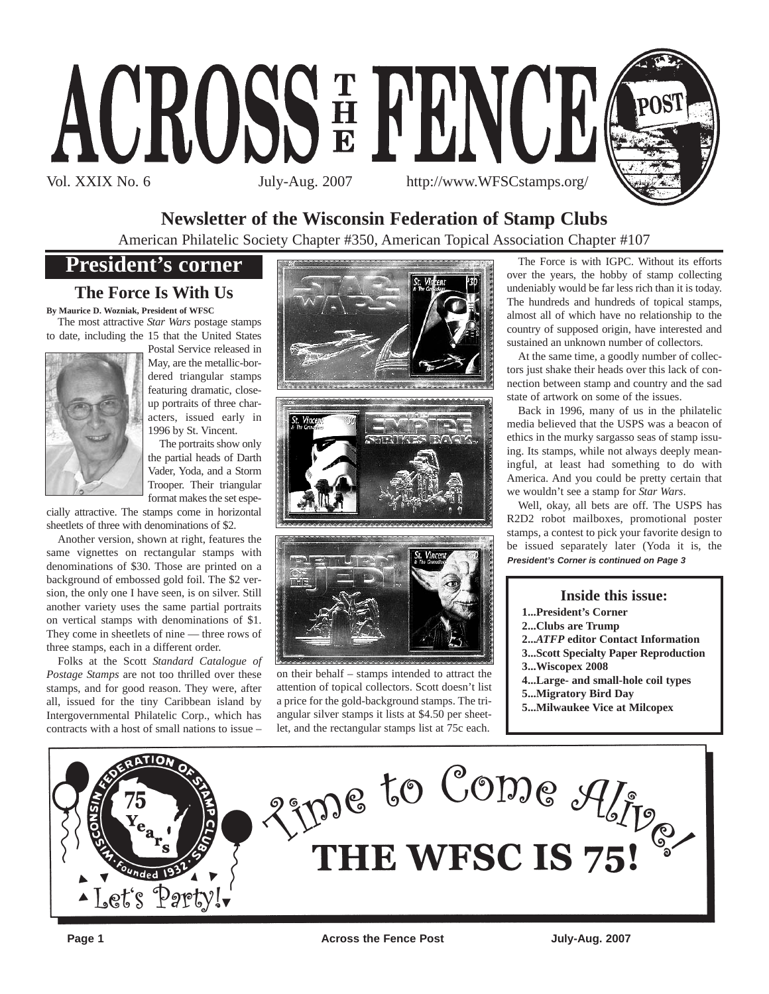

### **Newsletter of the Wisconsin Federation of Stamp Clubs**

American Philatelic Society Chapter #350, American Topical Association Chapter #107

## **President's corner**

### **The Force Is With Us**

**By Maurice D. Wozniak, President of WFSC** The most attractive *Star Wars* postage stamps

to date, including the 15 that the United States



Postal Service released in May, are the metallic-bordered triangular stamps featuring dramatic, closeup portraits of three characters, issued early in 1996 by St. Vincent.

The portraits show only the partial heads of Darth Vader, Yoda, and a Storm Trooper. Their triangular format makes the set espe-

cially attractive. The stamps come in horizontal sheetlets of three with denominations of \$2.

Another version, shown at right, features the same vignettes on rectangular stamps with denominations of \$30. Those are printed on a background of embossed gold foil. The \$2 version, the only one I have seen, is on silver. Still another variety uses the same partial portraits on vertical stamps with denominations of \$1. They come in sheetlets of nine — three rows of three stamps, each in a different order.

Folks at the Scott *Standard Catalogue of Postage Stamps* are not too thrilled over these stamps, and for good reason. They were, after all, issued for the tiny Caribbean island by Intergovernmental Philatelic Corp., which has contracts with a host of small nations to issue –







on their behalf – stamps intended to attract the attention of topical collectors. Scott doesn't list a price for the gold-background stamps. The triangular silver stamps it lists at \$4.50 per sheetlet, and the rectangular stamps list at 75c each.

The Force is with IGPC. Without its efforts over the years, the hobby of stamp collecting undeniably would be far less rich than it is today. The hundreds and hundreds of topical stamps, almost all of which have no relationship to the country of supposed origin, have interested and sustained an unknown number of collectors.

At the same time, a goodly number of collectors just shake their heads over this lack of connection between stamp and country and the sad state of artwork on some of the issues.

Back in 1996, many of us in the philatelic media believed that the USPS was a beacon of ethics in the murky sargasso seas of stamp issuing. Its stamps, while not always deeply meaningful, at least had something to do with America. And you could be pretty certain that we wouldn't see a stamp for *Star Wars*.

Well, okay, all bets are off. The USPS has R2D2 robot mailboxes, promotional poster stamps, a contest to pick your favorite design to be issued separately later (Yoda it is, the *President's Corner is continued on Page 3*

#### **Inside this issue:**

- **1...President's Corner**
- **2...Clubs are Trump**
- **2...***ATFP* **editor Contact Information**
- **3...Scott Specialty Paper Reproduction**
- **3...Wiscopex 2008**
- **4...Large- and small-hole coil types**
- **5...Migratory Bird Day**
- **5...Milwaukee Vice at Milcopex**



**Page 1 Across the Fence Post July-Aug. 2007 Page 1**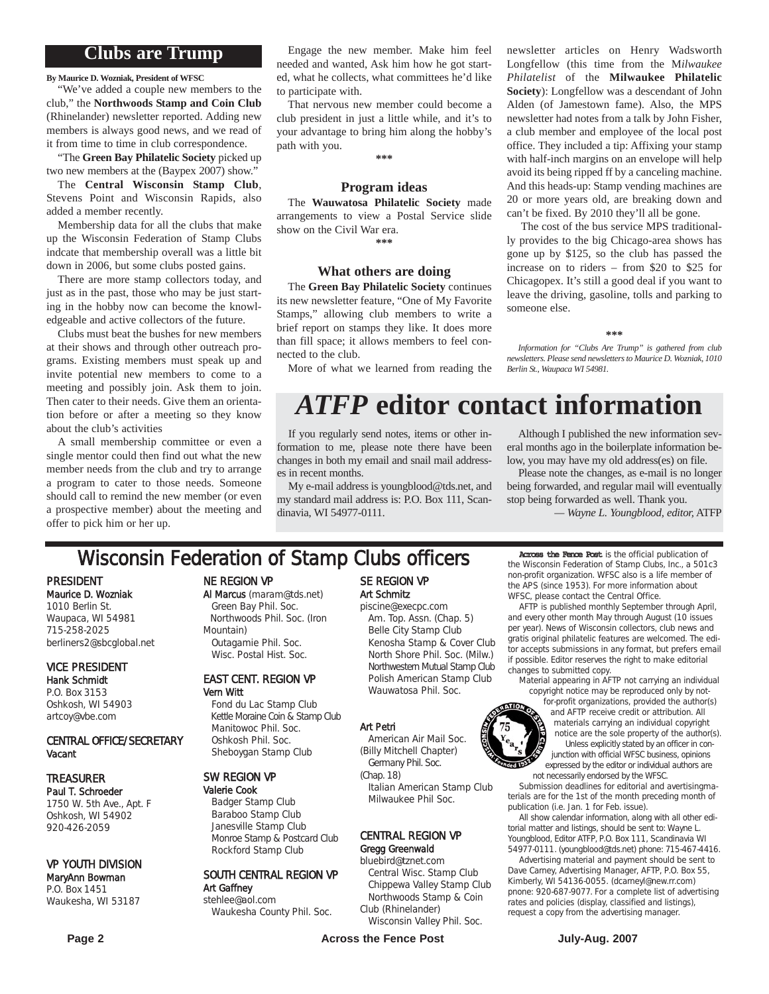### **Clubs are Trump**

**By Maurice D. Wozniak, President of WFSC**

"We've added a couple new members to the club," the **Northwoods Stamp and Coin Club** (Rhinelander) newsletter reported. Adding new members is always good news, and we read of it from time to time in club correspondence.

"The **Green Bay Philatelic Society** picked up two new members at the (Baypex 2007) show."

The **Central Wisconsin Stamp Club**, Stevens Point and Wisconsin Rapids, also added a member recently.

Membership data for all the clubs that make up the Wisconsin Federation of Stamp Clubs indcate that membership overall was a little bit down in 2006, but some clubs posted gains.

There are more stamp collectors today, and just as in the past, those who may be just starting in the hobby now can become the knowledgeable and active collectors of the future.

Clubs must beat the bushes for new members at their shows and through other outreach programs. Existing members must speak up and invite potential new members to come to a meeting and possibly join. Ask them to join. Then cater to their needs. Give them an orientation before or after a meeting so they know about the club's activities

A small membership committee or even a single mentor could then find out what the new member needs from the club and try to arrange a program to cater to those needs. Someone should call to remind the new member (or even a prospective member) about the meeting and offer to pick him or her up.

Engage the new member. Make him feel needed and wanted, Ask him how he got started, what he collects, what committees he'd like to participate with.

That nervous new member could become a club president in just a little while, and it's to your advantage to bring him along the hobby's path with you.

**\*\*\***

#### **Program ideas**

The **Wauwatosa Philatelic Society** made arrangements to view a Postal Service slide show on the Civil War era. **\*\*\***

#### **What others are doing**

The **Green Bay Philatelic Society** continues its new newsletter feature, "One of My Favorite Stamps," allowing club members to write a brief report on stamps they like. It does more than fill space; it allows members to feel connected to the club.

More of what we learned from reading the

## *ATFP* **editor contact information**

someone else.

*Berlin St., Waupaca WI 54981.*

If you regularly send notes, items or other information to me, please note there have been changes in both my email and snail mail addresses in recent months.

My e-mail address is youngblood@tds.net, and my standard mail address is: P.O. Box 111, Scandinavia, WI 54977-0111.

Although I published the new information several months ago in the boilerplate information below, you may have my old address(es) on file.

**\*\*\*** *Information for "Clubs Are Trump" is gathered from club newsletters. Please send newsletters to Maurice D. Wozniak, 1010*

newsletter articles on Henry Wadsworth Longfellow (this time from the M*ilwaukee Philatelist* of the **Milwaukee Philatelic Society**): Longfellow was a descendant of John Alden (of Jamestown fame). Also, the MPS newsletter had notes from a talk by John Fisher, a club member and employee of the local post office. They included a tip: Affixing your stamp with half-inch margins on an envelope will help avoid its being ripped ff by a canceling machine. And this heads-up: Stamp vending machines are 20 or more years old, are breaking down and can't be fixed. By 2010 they'll all be gone. The cost of the bus service MPS traditionally provides to the big Chicago-area shows has gone up by \$125, so the club has passed the increase on to riders – from \$20 to \$25 for Chicagopex. It's still a good deal if you want to leave the driving, gasoline, tolls and parking to

Please note the changes, as e-mail is no longer being forwarded, and regular mail will eventually stop being forwarded as well. Thank you. *— Wayne L. Youngblood, editor,* ATFP

## **Wisconsin Federation of Stamp Clubs officers** Across the Fence Post is the official publication of

PRESIDENT Maurice D. Wozniak 1010 Berlin St. Waupaca, WI 54981 715-258-2025 berliners2@sbcglobal.net

VICE PRESIDENT Hank Schmidt P.O. Box 3153

Oshkosh, WI 54903 artcoy@vbe.com

#### CENTRAL OFFICE/SECRETARY Vacant

#### TREASURER

Paul T. Schroeder 1750 W. 5th Ave., Apt. F Oshkosh, WI 54902 920-426-2059

#### VP YOUTH DIVISION

#### MaryAnn Bowman P.O. Box 1451 Waukesha, WI 53187

NE REGION VP

Al Marcus (maram@tds.net) Green Bay Phil. Soc. Northwoods Phil. Soc. (Iron Mountain) Outagamie Phil. Soc. Wisc. Postal Hist. Soc.

#### EAST CENT. REGION VP Vern Witt

Fond du Lac Stamp Club Kettle Moraine Coin & Stamp Club Manitowoc Phil. Soc. Oshkosh Phil. Soc. Sheboygan Stamp Club

#### SW REGION VP

Valerie Cook Badger Stamp Club Baraboo Stamp Club Janesville Stamp Club Monroe Stamp & Postcard Club Rockford Stamp Club

#### SOUTH CENTRAL REGION VP Art Gaffney stehlee@aol.com

Waukesha County Phil. Soc.

#### SE REGION VP Art Schmitz piscine@execpc.com

Am. Top. Assn. (Chap. 5) Belle City Stamp Club Kenosha Stamp & Cover Club North Shore Phil. Soc. (Milw.) Northwestern Mutual Stamp Club Polish American Stamp Club Wauwatosa Phil. Soc.

#### Art Petri

American Air Mail Soc. (Billy Mitchell Chapter) Germany Phil. Soc.

(Chap. 18) Italian American Stamp Club Milwaukee Phil Soc.

#### CENTRAL REGION VP Gregg Greenwald

#### bluebird@tznet.com

Central Wisc. Stamp Club Chippewa Valley Stamp Club Northwoods Stamp & Coin Club (Rhinelander)

Wisconsin Valley Phil. Soc.

the Wisconsin Federation of Stamp Clubs, Inc., a 501c3 non-profit organization. WFSC also is a life member of the APS (since 1953). For more information about WFSC, please contact the Central Office.

AFTP is published monthly September through April, and every other month May through August (10 issues per year). News of Wisconsin collectors, club news and gratis original philatelic features are welcomed. The editor accepts submissions in any format, but prefers email if possible. Editor reserves the right to make editorial changes to submitted copy.

Material appearing in AFTP not carrying an individual copyright notice may be reproduced only by not-

for-profit organizations, provided the author(s) and AFTP receive credit or attribution. All materials carrying an individual copyright notice are the sole property of the author(s). Unless explicitly stated by an officer in conjunction with official WFSC business, opinions expressed by the editor or individual authors are not necessarily endorsed by the WFSC.

Submission deadlines for editorial and avertisingmaterials are for the 1st of the month preceding month of publication (i.e. Jan. 1 for Feb. issue).

All show calendar information, along with all other editorial matter and listings, should be sent to: Wayne L. Youngblood, Editor ATFP, P.O. Box 111, Scandinavia WI 54977-0111. (youngblood@tds.net) phone: 715-467-4416.

Advertising material and payment should be sent to Dave Carney, Advertising Manager, AFTP, P.O. Box 55, Kimberly, WI 54136-0055. (dcarneyl@new.rr.com) pnone: 920-687-9077. For a complete list of advertising rates and policies (display, classified and listings), request a copy from the advertising manager.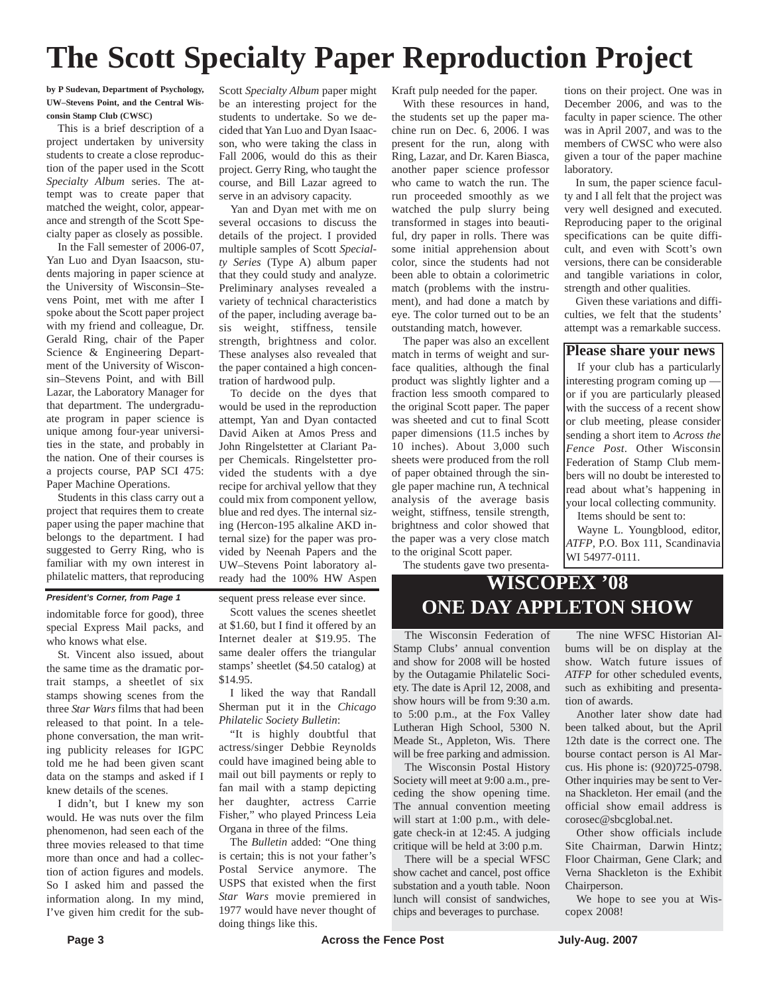## **The Scott Specialty Paper Reproduction Project**

**by P Sudevan, Department of Psychology, UW–Stevens Point, and the Central Wisconsin Stamp Club (CWSC)**

This is a brief description of a project undertaken by university students to create a close reproduction of the paper used in the Scott *Specialty Album* series. The attempt was to create paper that matched the weight, color, appearance and strength of the Scott Specialty paper as closely as possible.

In the Fall semester of 2006-07, Yan Luo and Dyan Isaacson, students majoring in paper science at the University of Wisconsin–Stevens Point, met with me after I spoke about the Scott paper project with my friend and colleague, Dr. Gerald Ring, chair of the Paper Science & Engineering Department of the University of Wisconsin–Stevens Point, and with Bill Lazar, the Laboratory Manager for that department. The undergraduate program in paper science is unique among four-year universities in the state, and probably in the nation. One of their courses is a projects course, PAP SCI 475: Paper Machine Operations.

Students in this class carry out a project that requires them to create paper using the paper machine that belongs to the department. I had suggested to Gerry Ring, who is familiar with my own interest in philatelic matters, that reproducing

#### *President's Corner, from Page 1*

indomitable force for good), three special Express Mail packs, and who knows what else.

St. Vincent also issued, about the same time as the dramatic portrait stamps, a sheetlet of six stamps showing scenes from the three *Star Wars* films that had been released to that point. In a telephone conversation, the man writing publicity releases for IGPC told me he had been given scant data on the stamps and asked if I knew details of the scenes.

I didn't, but I knew my son would. He was nuts over the film phenomenon, had seen each of the three movies released to that time more than once and had a collection of action figures and models. So I asked him and passed the information along. In my mind, I've given him credit for the subScott *Specialty Album* paper might be an interesting project for the students to undertake. So we decided that Yan Luo and Dyan Isaacson, who were taking the class in Fall 2006, would do this as their project. Gerry Ring, who taught the course, and Bill Lazar agreed to serve in an advisory capacity.

Yan and Dyan met with me on several occasions to discuss the details of the project. I provided multiple samples of Scott *Specialty Series* (Type A) album paper that they could study and analyze. Preliminary analyses revealed a variety of technical characteristics of the paper, including average basis weight, stiffness, tensile strength, brightness and color. These analyses also revealed that the paper contained a high concentration of hardwood pulp.

To decide on the dyes that would be used in the reproduction attempt, Yan and Dyan contacted David Aiken at Amos Press and John Ringelstetter at Clariant Paper Chemicals. Ringelstetter provided the students with a dye recipe for archival yellow that they could mix from component yellow, blue and red dyes. The internal sizing (Hercon-195 alkaline AKD internal size) for the paper was provided by Neenah Papers and the UW–Stevens Point laboratory already had the 100% HW Aspen

sequent press release ever since.

Scott values the scenes sheetlet at \$1.60, but I find it offered by an Internet dealer at \$19.95. The same dealer offers the triangular stamps' sheetlet (\$4.50 catalog) at \$14.95.

I liked the way that Randall Sherman put it in the *Chicago Philatelic Society Bulletin*:

"It is highly doubtful that actress/singer Debbie Reynolds could have imagined being able to mail out bill payments or reply to fan mail with a stamp depicting her daughter, actress Carrie Fisher," who played Princess Leia Organa in three of the films.

The *Bulletin* added: "One thing is certain; this is not your father's Postal Service anymore. The USPS that existed when the first *Star Wars* movie premiered in 1977 would have never thought of doing things like this.

Kraft pulp needed for the paper.

With these resources in hand, the students set up the paper machine run on Dec. 6, 2006. I was present for the run, along with Ring, Lazar, and Dr. Karen Biasca, another paper science professor who came to watch the run. The run proceeded smoothly as we watched the pulp slurry being transformed in stages into beautiful, dry paper in rolls. There was some initial apprehension about color, since the students had not been able to obtain a colorimetric match (problems with the instrument), and had done a match by eye. The color turned out to be an outstanding match, however.

The paper was also an excellent match in terms of weight and surface qualities, although the final product was slightly lighter and a fraction less smooth compared to the original Scott paper. The paper was sheeted and cut to final Scott paper dimensions (11.5 inches by 10 inches). About 3,000 such sheets were produced from the roll of paper obtained through the single paper machine run, A technical analysis of the average basis weight, stiffness, tensile strength, brightness and color showed that the paper was a very close match to the original Scott paper.

The students gave two presenta-

tions on their project. One was in December 2006, and was to the faculty in paper science. The other was in April 2007, and was to the members of CWSC who were also given a tour of the paper machine laboratory.

In sum, the paper science faculty and I all felt that the project was very well designed and executed. Reproducing paper to the original specifications can be quite difficult, and even with Scott's own versions, there can be considerable and tangible variations in color, strength and other qualities.

Given these variations and difficulties, we felt that the students' attempt was a remarkable success.

**Please share your news**

If your club has a particularly interesting program coming up or if you are particularly pleased with the success of a recent show or club meeting, please consider sending a short item to *Across the Fence Post*. Other Wisconsin Federation of Stamp Club members will no doubt be interested to read about what's happening in your local collecting community. Items should be sent to:

Wayne L. Youngblood, editor, *ATFP*, P.O. Box 111, Scandinavia WI 54977-0111.

### **WISCOPEX '08 ONE DAY APPLETON SHOW**

The Wisconsin Federation of Stamp Clubs' annual convention and show for 2008 will be hosted by the Outagamie Philatelic Society. The date is April 12, 2008, and show hours will be from 9:30 a.m. to 5:00 p.m., at the Fox Valley Lutheran High School, 5300 N. Meade St., Appleton, Wis. There will be free parking and admission.

The Wisconsin Postal History Society will meet at 9:00 a.m., preceding the show opening time. The annual convention meeting will start at 1:00 p.m., with delegate check-in at 12:45. A judging critique will be held at 3:00 p.m.

There will be a special WFSC show cachet and cancel, post office substation and a youth table. Noon lunch will consist of sandwiches, chips and beverages to purchase.

The nine WFSC Historian Albums will be on display at the show. Watch future issues of *ATFP* for other scheduled events, such as exhibiting and presentation of awards.

Another later show date had been talked about, but the April 12th date is the correct one. The bourse contact person is Al Marcus. His phone is: (920)725-0798. Other inquiries may be sent to Verna Shackleton. Her email (and the official show email address is corosec@sbcglobal.net.

Other show officials include Site Chairman, Darwin Hintz; Floor Chairman, Gene Clark; and Verna Shackleton is the Exhibit Chairperson.

We hope to see you at Wiscopex 2008!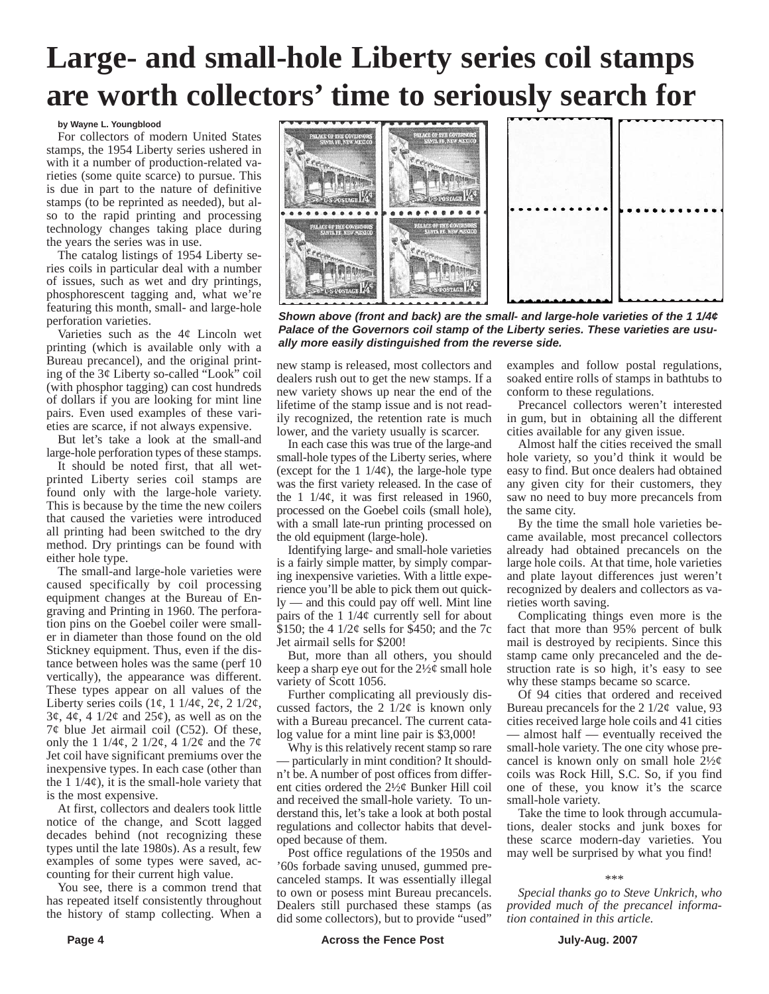# **Large- and small-hole Liberty series coil stamps are worth collectors' time to seriously search for**

#### **by Wayne L. Youngblood**

For collectors of modern United States stamps, the 1954 Liberty series ushered in with it a number of production-related varieties (some quite scarce) to pursue. This is due in part to the nature of definitive stamps (to be reprinted as needed), but also to the rapid printing and processing technology changes taking place during the years the series was in use.

The catalog listings of 1954 Liberty series coils in particular deal with a number of issues, such as wet and dry printings, phosphorescent tagging and, what we're featuring this month, small- and large-hole perforation varieties.

Varieties such as the 4¢ Lincoln wet printing (which is available only with a Bureau precancel), and the original printing of the 3¢ Liberty so-called "Look" coil (with phosphor tagging) can cost hundreds of dollars if you are looking for mint line pairs. Even used examples of these varieties are scarce, if not always expensive.

But let's take a look at the small-and large-hole perforation types of these stamps.

It should be noted first, that all wetprinted Liberty series coil stamps are found only with the large-hole variety. This is because by the time the new coilers that caused the varieties were introduced all printing had been switched to the dry method. Dry printings can be found with either hole type.

The small-and large-hole varieties were caused specifically by coil processing equipment changes at the Bureau of Engraving and Printing in 1960. The perforation pins on the Goebel coiler were smaller in diameter than those found on the old Stickney equipment. Thus, even if the distance between holes was the same (perf 10 vertically), the appearance was different. These types appear on all values of the Liberty series coils  $(1\phi, 1\ 1/4\phi, 2\phi, 2\ 1/2\phi,$  $3\varphi$ ,  $4\varphi$ ,  $4 \frac{1}{2\varphi}$  and  $25\varphi$ ), as well as on the  $7¢$  blue Jet airmail coil (C52). Of these, only the 1 1/4¢, 2 1/2¢, 4 1/2¢ and the  $7¢$ Jet coil have significant premiums over the inexpensive types. In each case (other than the  $1/4\varphi$ , it is the small-hole variety that is the most expensive.

At first, collectors and dealers took little notice of the change, and Scott lagged decades behind (not recognizing these types until the late 1980s). As a result, few examples of some types were saved, accounting for their current high value.

You see, there is a common trend that has repeated itself consistently throughout the history of stamp collecting. When a



*Shown above (front and back) are the small- and large-hole varieties of the 1 1/4¢ Palace of the Governors coil stamp of the Liberty series. These varieties are usually more easily distinguished from the reverse side.*

new stamp is released, most collectors and dealers rush out to get the new stamps. If a new variety shows up near the end of the lifetime of the stamp issue and is not readily recognized, the retention rate is much lower, and the variety usually is scarcer.

In each case this was true of the large-and small-hole types of the Liberty series, where (except for the  $1 \frac{1}{4\phi}$ ), the large-hole type was the first variety released. In the case of the  $1 \frac{1}{4\phi}$ , it was first released in 1960, processed on the Goebel coils (small hole), with a small late-run printing processed on the old equipment (large-hole).

Identifying large- and small-hole varieties is a fairly simple matter, by simply comparing inexpensive varieties. With a little experience you'll be able to pick them out quickly — and this could pay off well. Mint line pairs of the  $1 \frac{1}{4}$  currently sell for about \$150; the 4  $1/2\varphi$  sells for \$450; and the 7c Jet airmail sells for \$200!

But, more than all others, you should keep a sharp eye out for the  $2\frac{1}{2}\phi$  small hole variety of Scott 1056.

Further complicating all previously discussed factors, the 2  $1/2\ell$  is known only with a Bureau precancel. The current catalog value for a mint line pair is \$3,000!

Why is this relatively recent stamp so rare — particularly in mint condition? It shouldn't be. A number of post offices from different cities ordered the 2½¢ Bunker Hill coil and received the small-hole variety. To understand this, let's take a look at both postal regulations and collector habits that developed because of them.

Post office regulations of the 1950s and '60s forbade saving unused, gummed precanceled stamps. It was essentially illegal to own or posess mint Bureau precancels. Dealers still purchased these stamps (as did some collectors), but to provide "used"

examples and follow postal regulations, soaked entire rolls of stamps in bathtubs to conform to these regulations.

Precancel collectors weren't interested in gum, but in obtaining all the different cities available for any given issue.

Almost half the cities received the small hole variety, so you'd think it would be easy to find. But once dealers had obtained any given city for their customers, they saw no need to buy more precancels from the same city.

By the time the small hole varieties became available, most precancel collectors already had obtained precancels on the large hole coils. At that time, hole varieties and plate layout differences just weren't recognized by dealers and collectors as varieties worth saving.

Complicating things even more is the fact that more than 95% percent of bulk mail is destroyed by recipients. Since this stamp came only precanceled and the destruction rate is so high, it's easy to see why these stamps became so scarce.

Of 94 cities that ordered and received Bureau precancels for the 2  $1/2\ell$  value, 93 cities received large hole coils and 41 cities — almost half — eventually received the small-hole variety. The one city whose precancel is known only on small hole  $2\frac{1}{2}\phi$ coils was Rock Hill, S.C. So, if you find one of these, you know it's the scarce small-hole variety.

Take the time to look through accumulations, dealer stocks and junk boxes for these scarce modern-day varieties. You may well be surprised by what you find!

#### \*\*\*

*Special thanks go to Steve Unkrich, who provided much of the precancel information contained in this article.*